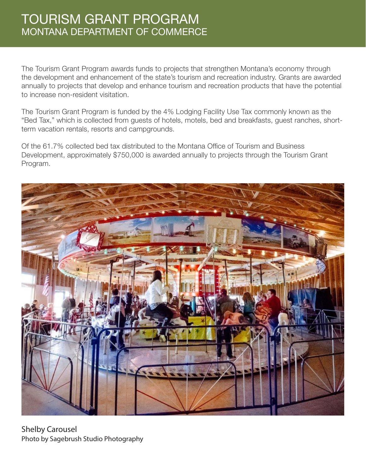## TOURISM GRANT PROGRAM MONTANA DEPARTMENT OF COMMERCE

The Tourism Grant Program awards funds to projects that strengthen Montana's economy through the development and enhancement of the state's tourism and recreation industry. Grants are awarded annually to projects that develop and enhance tourism and recreation products that have the potential to increase non-resident visitation.

The Tourism Grant Program is funded by the 4% Lodging Facility Use Tax commonly known as the "Bed Tax," which is collected from guests of hotels, motels, bed and breakfasts, guest ranches, shortterm vacation rentals, resorts and campgrounds.

Of the 61.7% collected bed tax distributed to the Montana Office of Tourism and Business Development, approximately \$750,000 is awarded annually to projects through the Tourism Grant Program.



Shelby Carousel Photo by Sagebrush Studio Photography